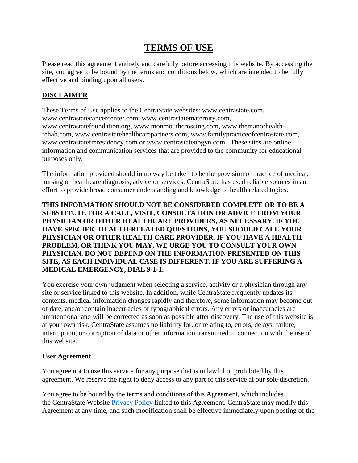# **TERMS OF USE**

Please read this agreement entirely and carefully before accessing this website. By accessing the site, you agree to be bound by the terms and conditions below, which are intended to be fully effective and binding upon all users.

# **DISCLAIMER**

These Terms of Use applies to the CentraState websites: [www.centrastate.com,](http://www.centrastate.com/) [www.centrastatecancercenter.com,](http://www.centrastatecancercenter.com/) [www.centrastatematernity.com,](http://www.centrastatematernity.com/) [www.centrastatefoundation.org,](http://www.centrastatefoundation.org/) [www.monmouthcrossing.com,](http://www.monmouthcrossing.com/) [www.themanorhealth](http://www.themanorhealth-rehab.com/)[rehab.com,](http://www.themanorhealth-rehab.com/) [www.centrastatehealthcarepartners.com,](http://www.centrastatehealthcarepartners.com/) [www.familypracticeofcentrastate.com,](http://www.familypracticeofcentrastate.com/) [www.centrastatefmresidency.com](http://www.centrastatefmresidency.com/) or [www.centrastateobgyn.com](http://www.centrastateobgyn.com/)**.** These sites are online information and communication services that are provided to the community for educational purposes only.

The information provided should in no way be taken to be the provision or practice of medical, nursing or healthcare diagnosis, advice or services. CentraState has used reliable sources in an effort to provide broad consumer understanding and knowledge of health related topics.

## **THIS INFORMATION SHOULD NOT BE CONSIDERED COMPLETE OR TO BE A SUBSTITUTE FOR A CALL, VISIT, CONSULTATION OR ADVICE FROM YOUR PHYSICIAN OR OTHER HEALTHCARE PROVIDERS, AS NECESSARY. IF YOU HAVE SPECIFIC HEALTH-RELATED QUESTIONS, YOU SHOULD CALL YOUR PHYSICIAN OR OTHER HEALTH CARE PROVIDER. IF YOU HAVE A HEALTH PROBLEM, OR THINK YOU MAY, WE URGE YOU TO CONSULT YOUR OWN PHYSICIAN. DO NOT DEPEND ON THE INFORMATION PRESENTED ON THIS SITE, AS EACH INDIVIDUAL CASE IS DIFFERENT. IF YOU ARE SUFFERING A MEDICAL EMERGENCY, DIAL 9-1-1.**

You exercise your own judgment when selecting a service, activity or a physician through any site or service linked to this website. In addition, while CentraState frequently updates its contents, medical information changes rapidly and therefore, some information may become out of date, and/or contain inaccuracies or typographical errors. Any errors or inaccuracies are unintentional and will be corrected as soon as possible after discovery. The use of this website is at your own risk. CentraState assumes no liability for, or relating to, errors, delays, failure, interruption, or corruption of data or other information transmitted in connection with the use of this website.

## **User Agreement**

You agree not to use this service for any purpose that is unlawful or prohibited by this agreement. We reserve the right to deny access to any part of this service at our sole discretion.

You agree to be bound by the terms and conditions of this Agreement, which includes the CentraState Website [Privacy Policy](https://www.centrastate.com/privacy-practices/) linked to this Agreement. CentraState may modify this Agreement at any time, and such modification shall be effective immediately upon posting of the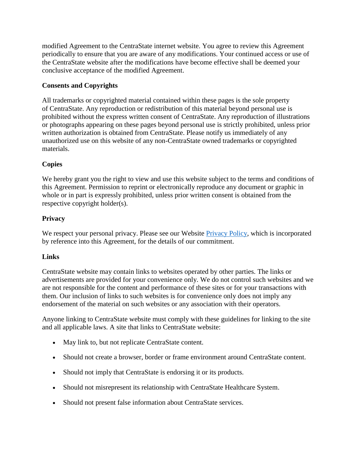modified Agreement to the CentraState internet website. You agree to review this Agreement periodically to ensure that you are aware of any modifications. Your continued access or use of the CentraState website after the modifications have become effective shall be deemed your conclusive acceptance of the modified Agreement.

# **Consents and Copyrights**

All trademarks or copyrighted material contained within these pages is the sole property of CentraState. Any reproduction or redistribution of this material beyond personal use is prohibited without the express written consent of CentraState. Any reproduction of illustrations or photographs appearing on these pages beyond personal use is strictly prohibited, unless prior written authorization is obtained from CentraState. Please notify us immediately of any unauthorized use on this website of any non-CentraState owned trademarks or copyrighted materials.

# **Copies**

We hereby grant you the right to view and use this website subject to the terms and conditions of this Agreement. Permission to reprint or electronically reproduce any document or graphic in whole or in part is expressly prohibited, unless prior written consent is obtained from the respective copyright holder(s).

# **Privacy**

We respect your personal privacy. Please see our Website *Privacy Policy*, which is incorporated by reference into this Agreement, for the details of our commitment.

## **Links**

CentraState website may contain links to websites operated by other parties. The links or advertisements are provided for your convenience only. We do not control such websites and we are not responsible for the content and performance of these sites or for your transactions with them. Our inclusion of links to such websites is for convenience only does not imply any endorsement of the material on such websites or any association with their operators.

Anyone linking to CentraState website must comply with these guidelines for linking to the site and all applicable laws. A site that links to CentraState website:

- May link to, but not replicate CentraState content.
- Should not create a browser, border or frame environment around CentraState content.
- Should not imply that CentraState is endorsing it or its products.
- Should not misrepresent its relationship with CentraState Healthcare System.
- Should not present false information about CentraState services.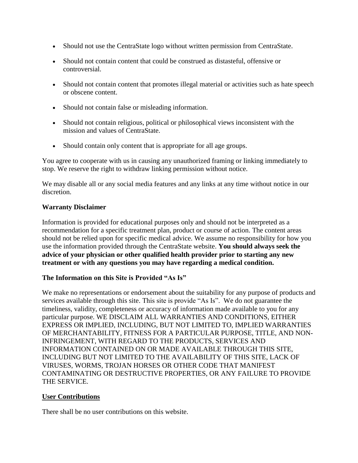- Should not use the CentraState logo without written permission from CentraState.
- Should not contain content that could be construed as distasteful, offensive or controversial.
- Should not contain content that promotes illegal material or activities such as hate speech or obscene content.
- Should not contain false or misleading information.
- Should not contain religious, political or philosophical views inconsistent with the mission and values of CentraState.
- Should contain only content that is appropriate for all age groups.

You agree to cooperate with us in causing any unauthorized framing or linking immediately to stop. We reserve the right to withdraw linking permission without notice.

We may disable all or any social media features and any links at any time without notice in our discretion.

#### **Warranty Disclaimer**

Information is provided for educational purposes only and should not be interpreted as a recommendation for a specific treatment plan, product or course of action. The content areas should not be relied upon for specific medical advice. We assume no responsibility for how you use the information provided through the CentraState website. **You should always seek the advice of your physician or other qualified health provider prior to starting any new treatment or with any questions you may have regarding a medical condition.**

#### **The Information on this Site is Provided "As Is"**

We make no representations or endorsement about the suitability for any purpose of products and services available through this site. This site is provide "As Is". We do not guarantee the timeliness, validity, completeness or accuracy of information made available to you for any particular purpose. WE DISCLAIM ALL WARRANTIES AND CONDITIONS, EITHER EXPRESS OR IMPLIED, INCLUDING, BUT NOT LIMITED TO, IMPLIED WARRANTIES OF MERCHANTABILITY, FITNESS FOR A PARTICULAR PURPOSE, TITLE, AND NON-INFRINGEMENT, WITH REGARD TO THE PRODUCTS, SERVICES AND INFORMATION CONTAINED ON OR MADE AVAILABLE THROUGH THIS SITE, INCLUDING BUT NOT LIMITED TO THE AVAILABILITY OF THIS SITE, LACK OF VIRUSES, WORMS, TROJAN HORSES OR OTHER CODE THAT MANIFEST CONTAMINATING OR DESTRUCTIVE PROPERTIES, OR ANY FAILURE TO PROVIDE THE SERVICE.

#### **User Contributions**

There shall be no user contributions on this website.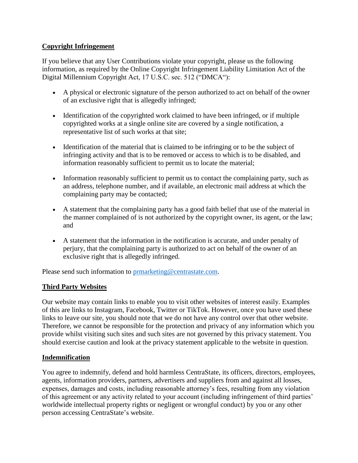# **Copyright Infringement**

If you believe that any User Contributions violate your copyright, please us the following information, as required by the Online Copyright Infringement Liability Limitation Act of the Digital Millennium Copyright Act, 17 U.S.C. sec. 512 ("DMCA"):

- A physical or electronic signature of the person authorized to act on behalf of the owner of an exclusive right that is allegedly infringed;
- Identification of the copyrighted work claimed to have been infringed, or if multiple copyrighted works at a single online site are covered by a single notification, a representative list of such works at that site;
- Identification of the material that is claimed to be infringing or to be the subject of infringing activity and that is to be removed or access to which is to be disabled, and information reasonably sufficient to permit us to locate the material;
- Information reasonably sufficient to permit us to contact the complaining party, such as an address, telephone number, and if available, an electronic mail address at which the complaining party may be contacted;
- A statement that the complaining party has a good faith belief that use of the material in the manner complained of is not authorized by the copyright owner, its agent, or the law; and
- A statement that the information in the notification is accurate, and under penalty of perjury, that the complaining party is authorized to act on behalf of the owner of an exclusive right that is allegedly infringed.

Please send such information to [prmarketing@centrastate.com.](mailto:prmarketing@centrastate.com)

# **Third Party Websites**

Our website may contain links to enable you to visit other websites of interest easily. Examples of this are links to Instagram, Facebook, Twitter or TikTok. However, once you have used these links to leave our site, you should note that we do not have any control over that other website. Therefore, we cannot be responsible for the protection and privacy of any information which you provide whilst visiting such sites and such sites are not governed by this privacy statement. You should exercise caution and look at the privacy statement applicable to the website in question.

## **Indemnification**

You agree to indemnify, defend and hold harmless CentraState, its officers, directors, employees, agents, information providers, partners, advertisers and suppliers from and against all losses, expenses, damages and costs, including reasonable attorney's fees, resulting from any violation of this agreement or any activity related to your account (including infringement of third parties' worldwide intellectual property rights or negligent or wrongful conduct) by you or any other person accessing CentraState's website.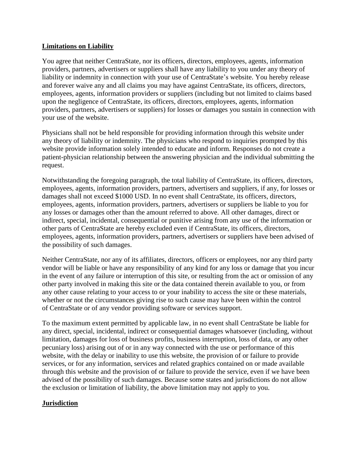### **Limitations on Liability**

You agree that neither CentraState, nor its officers, directors, employees, agents, information providers, partners, advertisers or suppliers shall have any liability to you under any theory of liability or indemnity in connection with your use of CentraState's website. You hereby release and forever waive any and all claims you may have against CentraState, its officers, directors, employees, agents, information providers or suppliers (including but not limited to claims based upon the negligence of CentraState, its officers, directors, employees, agents, information providers, partners, advertisers or suppliers) for losses or damages you sustain in connection with your use of the website.

Physicians shall not be held responsible for providing information through this website under any theory of liability or indemnity. The physicians who respond to inquiries prompted by this website provide information solely intended to educate and inform. Responses do not create a patient-physician relationship between the answering physician and the individual submitting the request.

Notwithstanding the foregoing paragraph, the total liability of CentraState, its officers, directors, employees, agents, information providers, partners, advertisers and suppliers, if any, for losses or damages shall not exceed \$1000 USD. In no event shall CentraState, its officers, directors, employees, agents, information providers, partners, advertisers or suppliers be liable to you for any losses or damages other than the amount referred to above. All other damages, direct or indirect, special, incidental, consequential or punitive arising from any use of the information or other parts of CentraState are hereby excluded even if CentraState, its officers, directors, employees, agents, information providers, partners, advertisers or suppliers have been advised of the possibility of such damages.

Neither CentraState, nor any of its affiliates, directors, officers or employees, nor any third party vendor will be liable or have any responsibility of any kind for any loss or damage that you incur in the event of any failure or interruption of this site, or resulting from the act or omission of any other party involved in making this site or the data contained therein available to you, or from any other cause relating to your access to or your inability to access the site or these materials, whether or not the circumstances giving rise to such cause may have been within the control of CentraState or of any vendor providing software or services support.

To the maximum extent permitted by applicable law, in no event shall CentraState be liable for any direct, special, incidental, indirect or consequential damages whatsoever (including, without limitation, damages for loss of business profits, business interruption, loss of data, or any other pecuniary loss) arising out of or in any way connected with the use or performance of this website, with the delay or inability to use this website, the provision of or failure to provide services, or for any information, services and related graphics contained on or made available through this website and the provision of or failure to provide the service, even if we have been advised of the possibility of such damages. Because some states and jurisdictions do not allow the exclusion or limitation of liability, the above limitation may not apply to you.

#### **Jurisdiction**